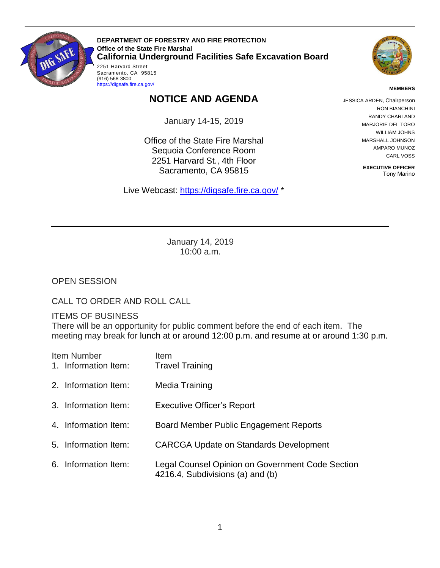

 2251 Harvard Street Sacramento, CA 95815 **DEPARTMENT OF FORESTRY AND FIRE PROTECTION Office of the State Fire Marshal California Underground Facilities Safe Excavation Board** 



**MEMBERS** 

## **NOTICE AND AGENDA**

January 14-15, 2019

Office of the State Fire Marshal Sequoia Conference Room 2251 Harvard St., 4th Floor Sacramento, CA 95815

Live Webcast: [https://digsafe.fire.ca.gov/](https://global.gotomeeting.com/join/883967957) \*

JESSICA ARDEN, Chairperson RON BIANCHINI RANDY CHARLAND MARJORIE DEL TORO WILLIAM JOHNS MARSHALL JOHNSON AMPARO MUNOZ CARL VOSS

> **EXECUTIVE OFFICER**  Tony Marino

January 14, 2019 10:00 a.m.

OPEN SESSION

CALL TO ORDER AND ROLL CALL

(916) 568-3800 https://digsafe.fire.ca.gov/

ITEMS OF BUSINESS

 There will be an opportunity for public comment before the end of each item. The meeting may break for lunch at or around 12:00 p.m. and resume at or around 1:30 p.m.

| Item Number          | Item |                                                                                      |
|----------------------|------|--------------------------------------------------------------------------------------|
| 1. Information Item: |      | <b>Travel Training</b>                                                               |
| 2. Information Item: |      | Media Training                                                                       |
| 3. Information Item: |      | <b>Executive Officer's Report</b>                                                    |
| 4. Information Item: |      | Board Member Public Engagement Reports                                               |
| 5. Information Item: |      | <b>CARCGA Update on Standards Development</b>                                        |
| 6. Information Item: |      | Legal Counsel Opinion on Government Code Section<br>4216.4, Subdivisions (a) and (b) |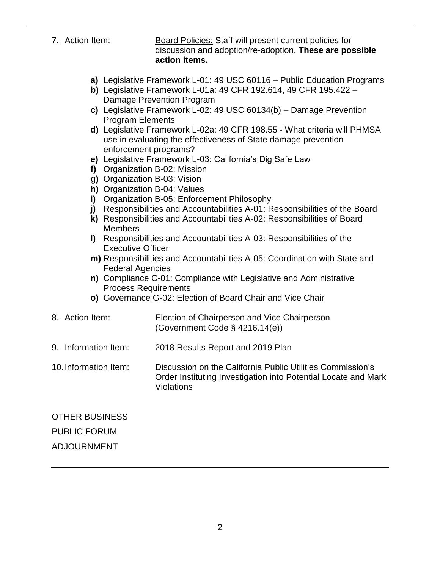- 7. Action Item: Board Policies: Staff will present current policies for discussion and adoption/re-adoption. **These are possible action items.** 
	- **a)** Legislative Framework L-01: 49 USC 60116 Public Education Programs
	- **b)** Legislative Framework L-01a: 49 CFR 192.614, 49 CFR 195.422 Damage Prevention Program
	- **c)** Legislative Framework L-02: 49 USC 60134(b) Damage Prevention Program Elements
	- **d)** Legislative Framework L-02a: 49 CFR 198.55 What criteria will PHMSA use in evaluating the effectiveness of State damage prevention enforcement programs?
	- **e)** Legislative Framework L-03: California's Dig Safe Law
	- **f)** Organization B-02: Mission
	- **g)** Organization B-03: Vision
	- **h)** Organization B-04: Values
	- **i)** Organization B-05: Enforcement Philosophy
	- **j)** Responsibilities and Accountabilities A-01: Responsibilities of the Board
	- **k)** Responsibilities and Accountabilities A-02: Responsibilities of Board **Members**
	- **l)** Responsibilities and Accountabilities A-03: Responsibilities of the Executive Officer
	- **m)** Responsibilities and Accountabilities A-05: Coordination with State and Federal Agencies
	- **n)** Compliance C-01: Compliance with Legislative and Administrative Process Requirements
	- **o)** Governance G-02: Election of Board Chair and Vice Chair
- 8. Action Item: Election of Chairperson and Vice Chairperson (Government Code § 4216.14(e))
- 9. Information Item: 2018 Results Report and 2019 Plan
- 10.Information Item: Discussion on the California Public Utilities Commission's Order Instituting Investigation into Potential Locate and Mark Violations

## OTHER BUSINESS PUBLIC FORUM ADJOURNMENT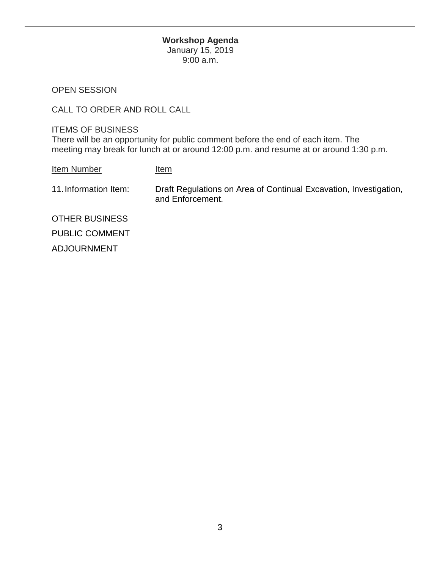## **Workshop Agenda**

January 15, 2019 9:00 a.m.

OPEN SESSION

CALL TO ORDER AND ROLL CALL

 meeting may break for lunch at or around 12:00 p.m. and resume at or around 1:30 p.m. ITEMS OF BUSINESS There will be an opportunity for public comment before the end of each item. The

Item Number Item

11.Information Item: Draft Regulations on Area of Continual Excavation, Investigation, and Enforcement.

OTHER BUSINESS PUBLIC COMMENT ADJOURNMENT